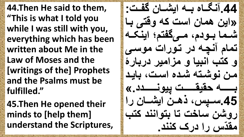**44.Then He said to them, "This is what I told you while I was still with you, everything which has been written about Me in the Law of Moses and the [writings of the] Prophets and the Psalms must be fulfilled."**

**45.Then He opened their minds to [help them] understand the Scriptures,**

**.44آنگاابه ااان گفتااب اا : »گف همب گس کن وقتی ااب تاامب اااومی ماای تی گفن اان تمبی آنچان م تاو گ موسای**  و کتب انبیا و مزامیر دربارۀ **ما نوتاتن تامه گسا ابفام ااااااااان ندفداااااااا فوناااااااامم.« .45سااا ذ هااا گفتاااب گ وت سبخ تب اتوگننم کتب**  مقدّس را درک کنند.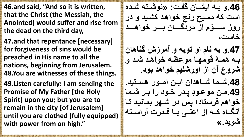**46.and said, "And so it is written, that the Christ (the Messiah, the Anointed) would suffer and rise from the dead on the third day,**

**47.and that repentance [necessary] for forgiveness of sins would be preached in His name to all the nations, beginning from Jerusalem. 48.You are witnesses of these things.**

**49.Listen carefully: I am sending the Promise of My Father [the Holy Spirit] upon you; but you are to remain in the city [of Jerusalem] until you are clothed (fully equipped) with power from on high."**

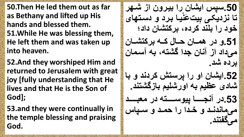**50.Then He led them out as far as Bethany and lifted up His hands and blessed them. 51.While He was blessing them, He left them and was taken up into heaven.**

**52.And they worshiped Him and returned to Jerusalem with great joy [fully understanding that He lives and that He is the Son of God];**

**53.and they were continually in the temple blessing and praising God.**

**.50س ذ گفتب گ افا و گز تاو نفاب اا م و رف نا تب نزمف ای ا مساتوب ی خوم گ النم ک مه ا کتتب مگم**  51 و در همــان حــال کــه برکتشــان **می مگم گز آنب جمگ تتن ان آسامب برده شَد.** 52.ایشان او را پرستش کردند و با شادی عظیم به اورشلیم بازگشتند<sub>.</sub> 53.در آنجـــا ييوســــته در معبـــد می ماندند و خدا را حمد و سیاس **می تنم.**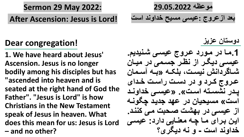**Sermon 29 May 2022:**

**After Ascension: Jesus is Lord!**

## **Dear congregation!**

**1. We have heard about Jesus' Ascension. Jesus is no longer bodily among his disciples but has "ascended into heaven and is seated at the right hand of God the Father". "Jesus is Lord" is how Christians in the New Testament speak of Jesus in heaven. What does this mean for us: Jesus is Lord – and no other?**

**مواهن 29.05.2022 ا م گزا وج :افسی مسفح خمگونم گس** 

دوستا*ن* عزيز

1.مـا در مـورد عروج عي*سى* شَنيديم. **افسای مفگا گز نها جسامی م مفاب تااب مگنش نفساا ال اان »ااان آساامب**  عروج کرد و در دست راست خدا*ی* يدر نشسته است». «عيسى خداوند است» مسيحيا*ن د*ر عهد جديد چگونـه از عیسی در بهشت صحبت می کنند. این برای ما چه معنایی دارد: عیس*ی* **خمگونم گس - و نن مفگ ؟**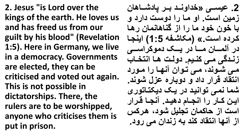**2. Jesus "is Lord over the kings of the earth. He loves us and has freed us from our guilt by his blood" (Revelation 1:5). Here in Germany, we live in a democracy. Governments are elected, they can be criticised and voted out again. This is not possible in dictatorships. There, the rulers are to be worshipped, anyone who criticises them is put in prison.**

2. عي*سـي* «خداونــد بــر يادشـــاهان زمین است. او ما را دوست دارد و با خون خود ما را از گناهانما*ن* رها **کا مه گسا .« )م بتا ن 1:5( گفنجاب**  در آلمـــان مـــا در یـــک دموکراســــ<sub>و،</sub> **زناام ی ماای کناافی. مولاا هااب گنتخاابب مای تاونم مای تاوگ آنواب گ ماو م**  انتقاد قرار داد و دوباره عزل شوند<u>.</u> شما نمی توانید در یک دیکتاتور *ی* این کار را انجام دهید. آنجا قرار است از حاکما*ن* تجلیل شود، هرکس از آ**نها انتقاد کند به زندان می رود.**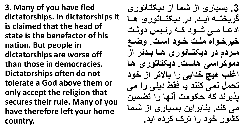**3. Many of you have fled dictatorships. In dictatorships it is claimed that the head of state is the benefactor of his nation. But people in dictatorships are worse off than those in democracies. Dictatorships often do not tolerate a God above them or only accept the religion that secures their rule. Many of you have therefore left your home country.**

3. بسیاری از شما از دیکتاتوری گريختــه ايــد<sub>.</sub> در ديكتــاتور ى هــا ادعا می شود که رئیس دولت خيرخواه ملت خود است. وضع مردم در دیکتاتوری ها بدتر از دموکراسی هاست. دیکتاتوری ها اغلب هیچ خدای<sub>ی ر</sub>ا بالاتر از خود **تنمر نمی کننم فب فدط مفنی گ می**  يذير ند كه حكومت آنها را تضمين **می کنم. انبا گف اسافب گز تامب**  کشور خود را ترک کرده اید.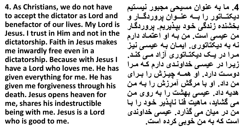**4. As Christians, we do not have to accept the dictator as Lord and benefactor of our lives. My Lord is Jesus. I trust in Him and not in the dictatorship. Faith in Jesus makes me inwardly free even in a dictatorship. Because with Jesus I have a Lord who loves me. He has given everything for me. He has given me forgiveness through his death. Jesus opens heaven for me, shares his indestructible being with me. Jesus is a Lord who is good to me.**

4. ما به عنوان مسيحي مجبور نيستيم **مف تااابتو گ اااان اناااوگ و م اااب و**  بخشنده زندگی خود بیذیریم<u>.</u> یروردگار من عی*سی* است. من بـه او اعتمـاد دارم **نن ان مف تبتو . گفماب اان افسای نفاز**  مرا در یک دیکتاتوری آزاد م*ی* کند. زیرا در عی*سی* خداوندی دارم که مرا دوست دارد. او همـه چیـزش را بـرا*ی* من داد<sub>.</sub> او با مرگش آمرزش را بـه من هدیه داد<sub>.</sub> عیسی بهشت را به روی من **می تبفم مبهف فنب نب ا ف خاوم گ ااب**  من در میا*ن می* گذارد. عی*سی* خداوند*ی* است که به من خوبی کرده است<u>.</u>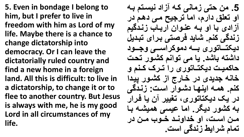**5. Even in bondage I belong to him, but I prefer to live in freedom with him as Lord of my life. Maybe there is a chance to change dictatorship into democracy. Or I can leave the dictatorially ruled country and find a new home in a foreign land. All this is difficult: to live in a dictatorship, to change it or to flee to another country. But Jesus is always with me, he is my good Lord in all circumstances of my life.**

5. من حت*ی ز*مان*ی ک*ه آزاد نیستم بـه او تعلق دارم، اما ترجیح م*ی دهم د*ر آزادی با او بـه عنـوان اربـاب زنـدگیم **زنم ی کنی. تبفم ف تی اا گ تاامفر**  دیکتــاتور ی بـــه دموکراســـی وجــود داشته باشد. یا می توانم کشور تحت حاکمیت دیکتــاتوری را تــرک کـنم و خانه جدیدی در خارج از کشور پیدا کنم. ه*م*ه اینها دشوار است: زندگی در یک دیکتاتوری، تغییر آن یا فرار به کشور دیگر<sub>.</sub> اما عیسی همیشه با من است، او خداوند خوب من در تمام شرایط زندگی است<u>.</u>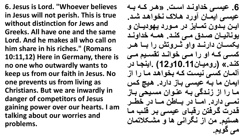**6. Jesus is Lord. "Whoever believes in Jesus will not perish. This is true without distinction for Jews and Greeks. All have one and the same Lord. And he makes all who call on him share in his riches." (Romans 10:11,12) Here in Germany, there is no one who outwardly wants to keep us from our faith in Jesus. No one prevents us from living as Christians. But we are inwardly in danger of competitors of Jesus gaining power over our hearts. I am talking about our worries and problems.**

**.6 افساای خمگوناام گساا . »هاا کاان ااان افسای گفماب آو م هااک نخوگهام تام.**  ايـن بـدون تمــايز در مــورد يـهوديــا*ن* و يونانيــا*ن صـدق مــ کنــد*. همــه خداونــد **ف ساااب مگ نااام وگو رااا وتش گ ااااب هااا کساای کاان گو گ ماای خوگناام تدساافی ماای**  کند.» (روميا*ن*10.11و12) .اينجا در آلمــا*ن* کســی نیسـت کــه بخواهد مــا را از **گفمب مب اان افسای اابز مگ م. هافچ کاذ ماب گ گز زنام ی اان اناوگ مسافنی اابز**  نمـــ<sub>و،</sub> دارد. امـــا در بـــاطن مـــا در خطــر قدرت گرفتن رقبا*ی* عیسی بر قلب ما هستیم. من از نگران*ی* ها و مشکلاتما*ن* می گویم.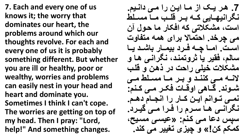**7. Each and every one of us knows it; the worry that dominates our heart, the problems around which our thoughts revolve. For each and every one of us it is probably something different. But whether you are ill or healthy, poor or wealthy, worries and problems can easily nest in your head and heart and dominate you. Sometimes I think I can't cope. The worries are getting on top of my head. Then I pray: "Lord, help!" And something changes.**

7. هر يـك از مـا ايـن را مـى دانـيم. **نگ گنفواابفی کاان ااا قلااب مااب مساالط**  است، مشکلاتی که افکار ما حول آن می چرخد. احتمالا برای همه متفاوت است. اما چه فرد بیمار باشد یا **سبلی فدف فب ر وتمنام نگ گنای هاب و**  مشکلات خیلی راحت در ذهن و قلب **الناان ماای کنناام و ااا مااب مساالط ماای تااونم. اابهی گوقااب ف اا ماای کاانی:**  نمـ*ی* تـوانم ایـن کـار را انجـام دهـم. نگران*ی* ها سرم را فرا م*ی* گیرد. **س ذ ماب مای کانی: »افسای مسافح**  کمکم کن!» و چیزی تغییر می کند.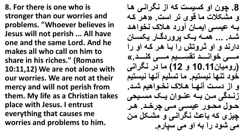**8. For there is one who is stronger than our worries and problems. "Whoever believes in Jesus will not perish ... All have one and the same Lord. And he makes all who call on him to share in his riches." (Romans 10:11,12) We are not alone with our worries. We are not at their mercy and will not perish from them. My life as a Christian takes place with Jesus. I entrust everything that causes me worries and problems to him.**

**.8 چو گو کسفس کن گز نگ گنای هاب و مت ا مب قو ت گس . »ها کان**  بـه عیســ ایمـان آورد هـلاک نخواهد شد<sub>۔ ۔۔۔</sub> همــه یــک پروردگــار یکســان دارند و او **گروتش را با هر که او را ماااااای خوگناااااام تدساااااافی ماااااای کناااااام.« ) ومفب 10.11 و 12( مب م نگ گنی خوم تنوب نفستفی. مب تسلفی آنوب نفستفی**  و از دست آنها هلاک نخواهیم شد. **زنـدگی مـن بـه عنـوان یـک مسـیمی نااور منااو افساای ماای چ خاام. هاا چفز کن اباث نگ گنای و متا ر ما**  م*ی* شود را به او می سپارم.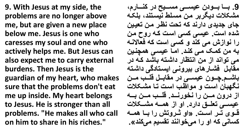**9. With Jesus at my side, the problems are no longer above me, but are given a new place below me. Jesus is one who caresses my soul and one who actively helps me. But Jesus can also expect me to carry external burdens. Then Jesus is the guardian of my heart, who makes sure that the problems don't eat me up inside. My heart belongs to Jesus. He is stronger than all problems. "He makes all who call on him to share in his riches."**

9. بـــا بـــودن عيســــى مســـيح در كنــــارم، مشكلات ديگربر من مسلط نيستند، بلكه جای جدیدی دارند که تحت نظر من تعیی<u>ن</u> **تمه گس . افسی کسی گسا کان وم ما گ نوگزش می کنم و کسی گس کن ف بالنان**  به من کمک می کند. امـا عی*سی* همچنین هی تواند از من انتظار داشته باشد که در مقابل فشــار *های* بیرونـی ایسـتادگی داشته باشــم.چــون عيســي در مقابــل قلــب مــن **نگواب گسا و موگهاب گسا تاب متا ا**  از درون مــن را نخورنــد. قلــب مــن بــه عیســی تعلــق دارد. او از همــه مشـــکلات قوی تـر اسـت<sub>.</sub> «او تـُروتش را بـا همـه **کسبنی کن گو گ می خوگننم تدسفی می کنم«.**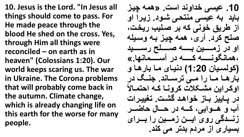**10. Jesus is the Lord. "In Jesus all things should come to pass. For He made peace through the blood He shed on the cross. Yes, through Him all things were reconciled – on earth as in heaven" (Colossians 1:20). Our world keeps scaring us. The war in Ukraine. The Corona problems that will probably come back in the autumn. Climate change, which is already changing life on this earth for the worse for many people.**

**.10 افسی خمگونم گس . »همن چفاز**  باید به عی*سی* منتحی شود. زیرا او از طریق خونی که بر صلیب ریخت، صلح کرد. آری، همه چیز به وسیله او در زمـــين بـــه صـــــلح رســــيد **همبنگونااااااان کااااااان م آسااااااامبنوب.« )کولسافب 1:20( منفاب ماب اب هاب و**  بارهـا مــا را مــ<sub>ی</sub> ترســاند. جنــگ در اوکراین مشکلات کرونــا کـه احتمــالاً در پاییز باز خواهد گشت<sub>.</sub> تغییرات آب و هــوايي، کـــه در حـــال حاضـــر **زنسدگی روی ایسن زمین را بسرای** بسیا*ری* از مردم بدتر می کند.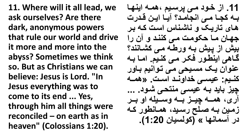**11. Where will it all lead, we ask ourselves? Are there dark, anonymous powers that rule our world and drive it more and more into the abyss? Sometimes we think so. But as Christians we can believe: Jesus is Lord. "In Jesus everything was to come to its end ... Yes, through him all things were reconciled – on earth as in heaven" (Colossians 1:20).**

**.11 گز خاوم مای سافی همان گفنواب**  بــه کجــا مـــ انـجامـد؟ آیــا ایــن قـدرت **هاب تب فا و نبتانبذ گسا کان اا**  جهان ما حکومت می کنند و آن را **افش گز افش اان و طان مای کتابننم؟ ابهی گفنطاو ف ا مای کنافی. گماب اان انوگ فا مسافنی مای تاوگنفی اابو کناافی: افساای خمگوناام گساا . »هماان**  چیز باید به عی*سی* منتحی شود. ... آری، همــه چیــز بــه وســیله او بــر **زماف اان الح سافم همابنطو کان م آسمبنوب « )کولسفب 1:20(.**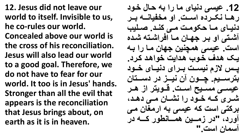**12. Jesus did not leave our world to itself. Invisible to us, he co-rules our world. Concealed above our world is the cross of his reconciliation. Jesus will also lead our world to a good goal. Therefore, we do not have to fear for our world. It too is in Jesus' hands. Stronger than all the evil that appears is the reconciliation that Jesus brings about, on earth as it is in heaven.**

**.12 افسی منفب مب گ ان نابر خاوم**  ر هــا نـكــرده اســت<sub>-</sub> او مخفيانــه بــر دنیای ما حکومت م*ی* کند. صلیب **آتاتی گو اا جواب ماب گف گتاتن تامه**  است. عیسی همچنین جهان مـا را بـه **فا هامب خاوب هامگف خوگهام کا م.**  يس لازم نيست برای دنيای خـود بترســيم. چــون آن نيــز در دســتا*ن* عیس*ی مسیح* است. قـویتر از هـر **تاا کاان خااوم گ نتااب ماای مهاام ا کتی گس کن افسی ان گ مغب مای**  آورد، "در زمــين همــانطور کــه در اسمان است."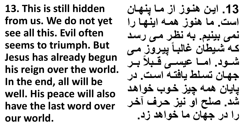**13. This is still hidden from us. We do not yet see all this. Evil often seems to triumph. But Jesus has already begun his reign over the world. In the end, all will be well. His peace will also have the last word over our world.**

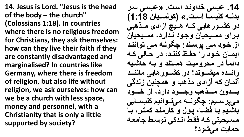**14. Jesus is Lord. "Jesus is the head of the body – the church" (Colossians 1:18). In countries where there is no religious freedom for Christians, they ask themselves: how can they live their faith if they are constantly disadvantaged and marginalised? In countries like Germany, where there is freedom of religion, but also life without religion, we ask ourselves: how can we be a church with less space, money and personnel, with a Christianity that is only a little supported by society?**

14. عیسی خداوند است. «عیس*ی* سر **امناان کلفسااب گساا .« )کولساافب 1:18(**  در کشـورهایی کـه هـیچ آزادی مـذهب*ی* برا*ی* مسیحیان وجود ندارد، مسیحیان از خود می یرسند: چگونـه مـی تواننـد ابمان خود را حفظ کنند، در حـال*ی* کـه دائماً در محرومیت هستند و بـه حاشیه  **گنااامه مفتاااونم؟ م کتاااو هبفی مبننااام**  آ**لمان که آزادی مذهب و همچنین زندگی** بـــدون مـــذهب وجـــود دارد، از خـــود **می ساافی: چگوناان می تااوگنفی کلفساابفی**  باشیم بـا فضـا، یول و کارمنـد کمتر، بـا مسيحيتي كه فقط اندكي توسط جامعه **نمبف می توم؟**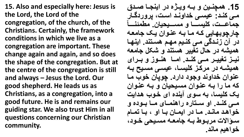**15. Also and especially here: Jesus is the Lord, the Lord of the congregation, of the church, of the Christians. Certainly, the framework conditions in which we live as a congregation are important. These change again and again, and so does the shape of the congregation. But at the centre of the congregation is still and always – Jesus the Lord. Our good shepherd. He leads us as Christians, as a congregation, into a good future. He is and remains our guiding star. We also trust Him in all questions concerning our Christian community.**

15. همچنـين و بــه ويـِـزَّه در اينجــا صـدق م*ـی* کنـد: عیسـی خداونـد است، پروردگـار جماعــت، كليســـا و مســـيحيان<sub>.</sub> مطمئنـــأ چارچوبهایی که مـا بـه عنـوان یـک جامعـه در آن زندگ*ی* می کنیم مهم هستند. اینها همیشه در حال تغییر هستند و شکل جامعه نیز تغییر م*ـی* کنـد. امـا هنـوز و بـرای همیشه در مرکز کلی*سا، ع*یس*ی مسیح* به عنوان خداوند وجود دارد. چوپا*ن* خوب مـا **کن مب گ اان اناوگ مسافنفب و اان اناوگ**  یک کلیسا، به سوی آینده ای خوب هدایت **ماای کناام. گو سااتب ه گهنمااب مااب اااومه و خوگهام مبنام. ماب م گفماب ااب گو ااب تمابی**  سوالات مربوط بـه جامعـه مسـيحي خـود، **خواهیم ماند.**